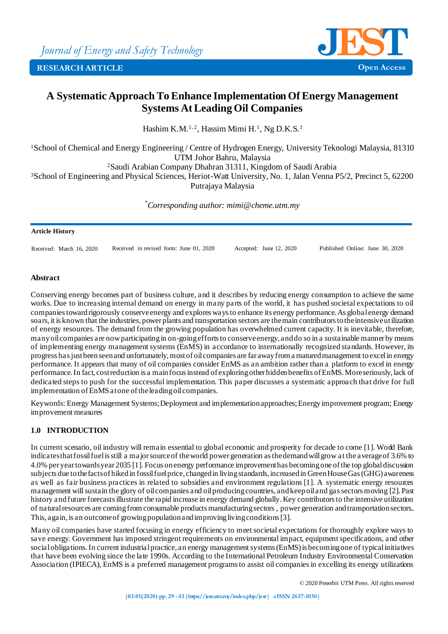

# **A Systematic Approach To Enhance Implementation Of Energy Management Systems At Leading Oil Companies**

Hashim K.M.<sup>1,2</sup>, Hassim Mimi H.<sup>1</sup>, Ng D.K.S.<sup>3</sup>

<sup>1</sup>School of Chemical and Energy Engineering / Centre of Hydrogen Energy, University Teknologi Malaysia, 81310 UTM Johor Bahru, Malaysia

<sup>2</sup>Saudi Arabian Company Dhahran 31311, Kingdom of Saudi Arabia

<sup>3</sup>School of Engineering and Physical Sciences, Heriot-Watt University, No. 1, Jalan Venna P5/2, Precinct 5, 62200 Putrajaya Malaysia

*\*Corresponding author: mimi@cheme.utm.my*

#### **Article History**

Received: March 16, 2020 Received in revised form: June 01, 2020 Accepted: June 12, 2020 Published Online: June 30, 2020

### **Abstract**

Conserving energy becomes part of business culture, and it describes by reducing energy consumption to achieve the same works. Due to increasing internal demand on energy in many parts of the world, it has pushed societal expectations to oil companies toward rigorously conserve energy and explores ways to enhance its energy performance. As global energy demand soars, it is known that the industries, power plants and transportation sectors are the main contributors to the intensive utilization of energy resources. The demand from the growing population has overwhelmed current capacity. It is inevitable, therefore, many oil companies are now participating in on-going efforts to conserve energy, and do so in a sustainable manner by means of implementing energy management systems (EnMS) in accordance to internationally recognized standards. However, its progress has just been seen and unfortunately, most of oil companies are far away from a matured management to excel in energy performance. It appears that many of oil companies consider EnMS as an ambition rather than a platform to excel in energy performance. In fact, cost reduction is a main focus instead of exploring other hidden benefits of EnMS. More seriously, lack of dedicated steps to push for the successful implementation. This paper discusses a systematic approa ch that drive for full implementation of EnMS at one of the leading oil companies.

Keywords: Energy Management Systems; Deployment and implementation approaches; Energy improvement program; Energy improvement measures

# **1.0 INTRODUCTION**

In current scenario, oil industry will remain essential to global economic and prosperity for decade to come [1]. World Bank indicates that fossil fuel is still a major source of the world power generation as the demand will grow at the average of 3.6% to 4.0% per year towards year 2035 [1]. Focus on energy performance improvement has becoming one of the top global discussion subjects due to the facts of hiked in fossil fuel price, changed in living standards, increased in Green House Gas (GHG) awareness as well as fair business practices in related to subsidies and environment regulations [1]. A systematic energy resources management will sustain the glory of oil companies and oil producing countries, and keep oil and gas sectors moving [2]. Past history and future forecasts illustrate the rapid increase in energy demand globally. Key contributors to the intensive utilization of natural resources are coming from consumable products manufacturing sectors , power generation and transportation sectors.. This, again, is an outcome of growing population and improving living conditions [3].

Many oil companies have started focusing in energy efficiency to meet societal expectations for thoroughly explore ways to save energy. Government has imposed stringent requirements on environmental impact, equipment specifications, and other social obligations. In current industrial practice, an energy management systems (EnMS) is becoming one of typical initiatives that have been evolving since the late 1990s. According to the International Petroleum Industry Environmental Conservation Association (IPIECA), EnMS is a preferred management programs to assist oil companies in excelling its energy utilizations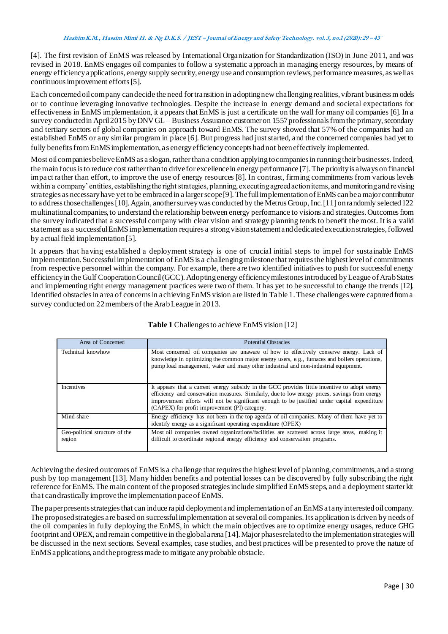[4]. The first revision of EnMS was released by International Organization for Standardization (ISO) in June 2011, and was revised in 2018. EnMS engages oil companies to follow a systematic approach in managing energy resources, by means of energy efficiency applications, energy supply security, energy use and consumption reviews, performance measures, as well as continuous improvement efforts [5].

Each concerned oil company can decide the need for transition in adopting new challenging realities, vibrant business m odels or to continue leveraging innovative technologies. Despite the increase in energy demand and societal expectations for effectiveness in EnMS implementation, it appears that EnMS is just a certificate on the wall for many oil companies [6]. In a survey conducted in April 2015 by DNV GL – Business Assurance customer on 1557 professionals from the primary, secondary and tertiary sectors of global companies on approach toward EnMS. The survey showed that 57% of the companies had an established EnMS or any similar program in place [6]. But progress had just started, and the concerned companies had yet to fully benefits from EnMS implementation, as energy efficiency concepts had not been effectively implemented.

Most oil companies believe EnMS as a slogan, rather than a condition applying to companies in running their businesses. Indeed, the main focus is to reduce cost rather than to drive for excellence in energy performance [7]. The priority is always on financial impact rather than effort, to improve the use of energy resources [8]. In contrast, firming commitments from various levels within a company' entities, establishing the right strategies, planning, executing agreed action items, and monitoring and revising strategies as necessary have yet to be embraced in a larger scope [9]. The full implementation of EnMS can be a major contributor to address those challenges [10]. Again, another survey was conducted by the Metrus Group, Inc. [11] on randomly selected 122 multinational companies, to understand the relationship between energy performance to visions and strategies. Outcomes from the survey indicated that a successful company with clear vision and strategy planning tends to benefit the most. It is a valid statement as a successful EnMS implementation requires a strong vision statement and dedicated execution strategies, followed by actual field implementation [5].

It appears that having established a deployment strategy is one of crucial initial steps to impel for sustainable EnMS implementation. Successful implementation of EnMS is a challenging milestone that requires the highest level of commitments from respective personnel within the company. For example, there are two identified initiatives to push for successful energy efficiency in the Gulf Cooperation Council (GCC). Adopting energy efficiency milestones introduced by League of Arab States and implementing right energy management practices were two of them. It has yet to be successful to change the trends [12]. Identified obstacles in area of concerns in achieving EnMS vision are listed in Table 1. These challenges were captured from a survey conducted on 22 members of the Arab League in 2013.

| Area of Concerned                        | <b>Potential Obstacles</b>                                                                                                                                                                                                                                                                                                                       |  |
|------------------------------------------|--------------------------------------------------------------------------------------------------------------------------------------------------------------------------------------------------------------------------------------------------------------------------------------------------------------------------------------------------|--|
| Technical knowhow                        | Most concerned oil companies are unaware of how to effectively conserve energy. Lack of<br>knowledge in optimizing the common major energy users, e.g., furnaces and boilers operations,<br>pump load management, water and many other industrial and non-industrial equipment.                                                                  |  |
| Incentives                               | It appears that a current energy subsidy in the GCC provides little incentive to adopt energy<br>efficiency and conservation measures. Similarly, due to low energy prices, savings from energy<br>improvement efforts will not be significant enough to be justified under capital expenditure<br>(CAPEX) for profit improvement (PI) category. |  |
| Mind-share                               | Energy efficiency has not been in the top agenda of oil companies. Many of them have yet to<br>identify energy as a significant operating expenditure (OPEX)                                                                                                                                                                                     |  |
| Geo-political structure of the<br>region | Most oil companies owned organizations/facilities are scattered across large areas, making it<br>difficult to coordinate regional energy efficiency and conservation programs.                                                                                                                                                                   |  |

# **Table 1** Challenges to achieve EnMS vision [12]

Achieving the desired outcomes of EnMS is a challenge that requires the highest level of planning, commitments, and a strong push by top management [13]. Many hidden benefits and potential losses can be discovered by fully subscribing the right reference for EnMS. The main content of the proposed strategies include simplified EnMS steps, and a deployment starter kit that can drastically improve the implementation pace of EnMS.

The paper presents strategies that can induce rapid deployment and implementation of an EnMS at any interested oil company. The proposed strategies are based on successful implementation at several oil companies. Its application is driven by needs of the oil companies in fully deploying the EnMS, in which the main objectives are to op timize energy usages, reduce GHG footprint and OPEX, and remain competitive in the global arena [14]. Major phases related to the implementation strategies will be discussed in the next sections. Several examples, case studies, and best practices will be presented to prove the nature of EnMS applications, and the progress made to mitigate any probable obstacle.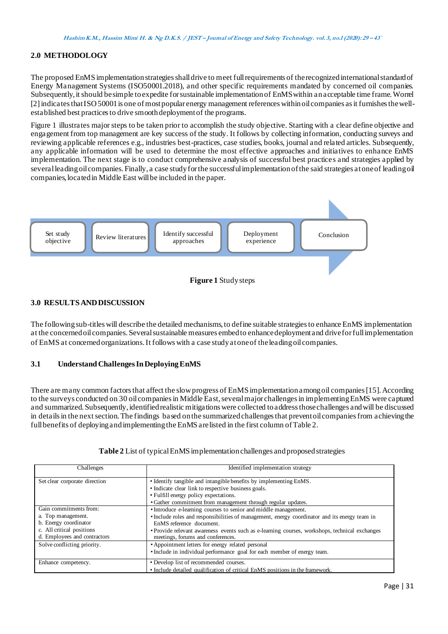# **2.0 METHODOLOGY**

The proposed EnMS implementation strategies shall drive to meet full requirements of the recognized international standard of Energy Management Systems (ISO50001.2018), and other specific requirements mandated by concerned oil companies. Subsequently, it should be simple to expedite for sustainable implementation of EnMS within an acceptable time frame. Worrel [2] indicates that ISO 50001 is one of most popular energy management references within oil companies as it furnishes the wellestablished best practices to drive smooth deployment of the programs.

Figure 1 illustrates major steps to be taken prior to accomplish the study objective. Starting with a clear define objective and engagement from top management are key success of the study. It follows by collecting information, conducting surveys and reviewing applicable references e.g., industries best-practices, case studies, books, journal and related articles. Subsequently, any applicable information will be used to determine the most effective approaches and initiatives to enhance EnMS implementation. The next stage is to conduct comprehensive analysis of successful best practices and strategies applied by several leading oil companies. Finally, a case study for the successful implementation of the said strategies at one of leading oil companies, located in Middle East will be included in the paper.



# **3.0 RESULTS AND DISCUSSION**

The following sub-titles will describe the detailed mechanisms, to define suitable strategies to enhance EnMS implementation at the concerned oil companies. Several sustainable measures embed to enhance deployment and drive for full implementation of EnMS at concerned organizations. It follows with a case study at one of the leading oil companies.

### **3.1 Understand Challenges In Deploying EnMS**

There are many common factors that affect the slow progress of EnMS implementation among oil companies [15]. According to the surveys conducted on 30 oil companies in Middle East, several major challenges in implementing EnMS were captured and summarized. Subsequently, identified realistic mitigations were collected to address those challenges and will be discussed in details in the next section. The findings based on the summarized challenges that prevent oil companies from achieving the full benefits of deploying and implementing the EnMS are listed in the first column of Table 2.

| Challenges                                                | Identified implementation strategy                                                                                                  |  |  |
|-----------------------------------------------------------|-------------------------------------------------------------------------------------------------------------------------------------|--|--|
| Set clear corporate direction                             | • Identify tangible and intangible benefits by implementing EnMS.                                                                   |  |  |
|                                                           | • Indicate clear link to respective business goals.                                                                                 |  |  |
|                                                           | • Fulfill energy policy expectations.                                                                                               |  |  |
|                                                           | · Gather commitment from management through regular updates.                                                                        |  |  |
| Gain commitments from:                                    | • Introduce e-learning courses to senior and middle management.                                                                     |  |  |
| a. Top management.<br>b. Energy coordinator               | • Include roles and responsibilities of management, energy coordinator and its energy team in<br>EnMS reference document.           |  |  |
| c. All critical positions<br>d. Employees and contractors | • Provide relevant awareness events such as e-learning courses, workshops, technical exchanges<br>meetings, forums and conferences. |  |  |
| Solve conflicting priority.                               | • Appointment letters for energy related personal                                                                                   |  |  |
|                                                           | • Include in individual performance goal for each member of energy team.                                                            |  |  |
| Enhance competency.                                       | • Develop list of recommended courses.                                                                                              |  |  |
|                                                           | • Include detailed qualification of critical EnMS positions in the framework.                                                       |  |  |

### **Table 2** List of typical EnMS implementation challenges and proposed strategies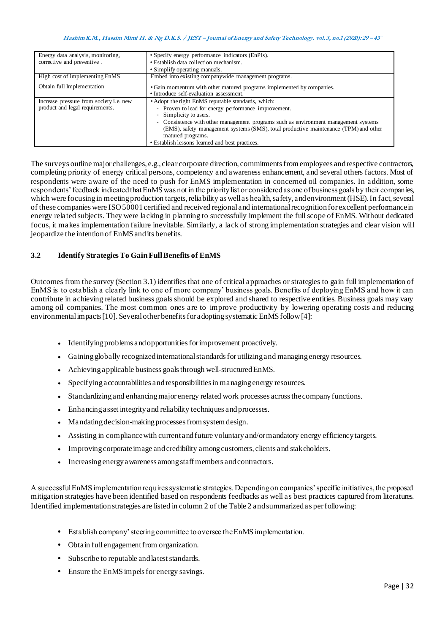| Energy data analysis, monitoring,<br>corrective and preventive.            | • Specify energy performance indicators (EnPIs).<br>• Establish data collection mechanism.<br>• Simplify operating manuals.                                                                                                                                                                                                                                                                 |  |
|----------------------------------------------------------------------------|---------------------------------------------------------------------------------------------------------------------------------------------------------------------------------------------------------------------------------------------------------------------------------------------------------------------------------------------------------------------------------------------|--|
| High cost of implementing EnMS                                             | Embed into existing companywide management programs.                                                                                                                                                                                                                                                                                                                                        |  |
| Obtain full Implementation                                                 | • Gain momentum with other matured programs implemented by companies.<br>• Introduce self-evaluation assessment.                                                                                                                                                                                                                                                                            |  |
| Increase pressure from society i.e. new<br>product and legal requirements. | • Adopt the right EnMS reputable standards, which:<br>- Proven to lead for energy performance improvement.<br>- Simplicity to users.<br>- Consistence with other management programs such as environment management systems<br>(EMS), safety management systems (SMS), total productive maintenance (TPM) and other<br>matured programs.<br>• Establish lessons learned and best practices. |  |

The surveys outline major challenges, e.g., clear corporate direction, commitments from employees and respective contractors, completing priority of energy critical persons, competency and awareness enhancement, and several others factors. Most of respondents were aware of the need to push for EnMS implementation in concerned oil companies. In addition, some respondents' feedback indicated that EnMS was not in the priority list or considered as one of business goals by their compan ies, which were focusing in meeting production targets, reliability as well as health, safety, and environment (HSE). In fact, several of these companies were ISO 50001 certified and received regional and international recognition for excellent performance in energy related subjects. They were lacking in planning to successfully implement the full scope of EnMS. Without dedicated focus, it makes implementation failure inevitable. Similarly, a lack of strong implementation strategies and clear vision will jeopardize the intention of EnMS and its benefits.

# **3.2 Identify Strategies To Gain Full Benefits of EnMS**

Outcomes from the survey (Section 3.1) identifies that one of critical approaches or strategies to gain full implementation of EnMS is to establish a clearly link to one of more company' business goals. Benefits of deploying EnMS and how it can contribute in achieving related business goals should be explored and shared to respective entities. Business goals may vary among oil companies. The most common ones are to improve productivity by lowering operating costs and reducing environmental impacts [10]. Several other benefits for adopting systematic EnMS follow [4]:

- Identifying problems and opportunities for improvement proactively.
- Gaining globally recognized international standards for utilizing and managing energy resources.
- Achieving applicable business goals through well-structured EnMS.
- Specifying accountabilities and responsibilities in managing energy resources.
- Standardizing and enhancing major energy related work processes across the company functions.
- Enhancing asset integrity and reliability techniques and processes.
- Mandating decision-making processes from system design.
- Assisting in compliance with current and future voluntary and/or mandatory energy efficiency targets.
- Improving corporate image and credibility among customers, clients and stakeholders.
- Increasing energy awareness among staff members and contractors.

A successful EnMS implementation requires systematic strategies. Depending on companies' specific initiatives, the proposed mitigation strategies have been identified based on respondents feedbacks as well as best practices captured from literatures. Identified implementation strategies are listed in column 2 of the Table 2 and summarized as per following:

- **•** Establish company' steering committee to oversee the EnMS implementation.
- **•** Obtain full engagement from organization.
- **•** Subscribe to reputable and latest standards.
- **•** Ensure the EnMS impels for energy savings.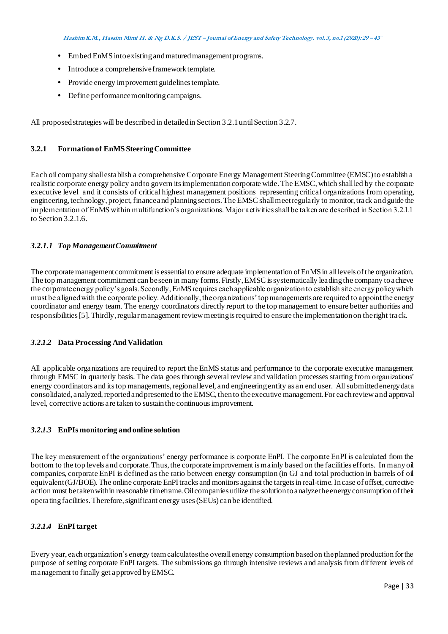**Hashim K.M., Hassim Mimi H. & Ng D.K.S. / JEST – Journal of Energy and Safety Technology. vol. 3, no.1 (2020): <sup>29</sup> – 43`**

- **•** Embed EnMS into existing and matured management programs.
- **•** Introduce a comprehensive framework template.
- **•** Provide energy improvement guidelines template.
- Define performance monitoring campaigns.

All proposed strategies will be described in detailed in Section 3.2.1 until Section 3.2.7.

## **3.2.1 Formation of EnMS Steering Committee**

Each oil company shall establish a comprehensive Corporate Energy Management Steering Committee (EMSC) to establish a realistic corporate energy policy and to govern its implementation corporate wide. The EMSC, which shall led by the corporate executive level and it consists of critical highest management positions representing critical organizations from operating, engineering, technology, project, finance and planning sectors. The EMSC shall meet regularly to monitor, track and guide the implementation of EnMS within multifunction's organizations. Major activities shall be taken are described in Section 3.2.1.1 to Section 3.2.1.6.

# *3.2.1.1 Top Management Commitment*

The corporate management commitment is essential to ensure adequate implementation of EnMS in all levels of the organization. The top management commitment can be seen in many forms. Firstly, EMSC is systematically leading the company to achieve the corporate energy policy's goals. Secondly, EnMS requires each applicable organization to establish site energy policy which must be aligned with the corporate policy. Additionally, the organizations' top managements are required to appoint the energy coordinator and energy team. The energy coordinators directly report to the top management to ensure better authorities and responsibilities [5]. Thirdly, regular management review meeting is required to ensure the implementation on the right track.

### *3.2.1.2* **Data Processing And Validation**

All applicable organizations are required to report the EnMS status and performance to the corporate executive management through EMSC in quarterly basis. The data goes through several review and validation processes starting from organizations' energy coordinators and its top managements, regional level, and engineering entity as an end user. All submitted energy data consolidated, analyzed, reported and presented to the EMSC, then to the executive management. For each review and approval level, corrective actions are taken to sustain the continuous improvement.

### *3.2.1.3* **EnPIs monitoring and online solution**

The key measurement of the organizations' energy performance is corporate EnPI. The corporate EnPI is calculated from the bottom to the top levels and corporate. Thus, the corporate improvement is mainly based on the facilities efforts. In many oil companies, corporate EnPI is defined as the ratio between energy consumption (in GJ and total production in barrels of oil equivalent (GJ/BOE). The online corporate EnPI tracks and monitors against the targets in real-time. In case of offset, corrective action must be taken within reasonable timeframe. Oil companies utilize the solution to analyze the energy consumption of their operating facilities. Therefore, significant energy uses (SEUs) can be identified.

# *3.2.1.4* **EnPI target**

Every year, each organization's energy team calculates the overall energy consumption based on the planned production for the purpose of setting corporate EnPI targets. The submissions go through intensive reviews and analysis from different levels of management to finally get approved by EMSC.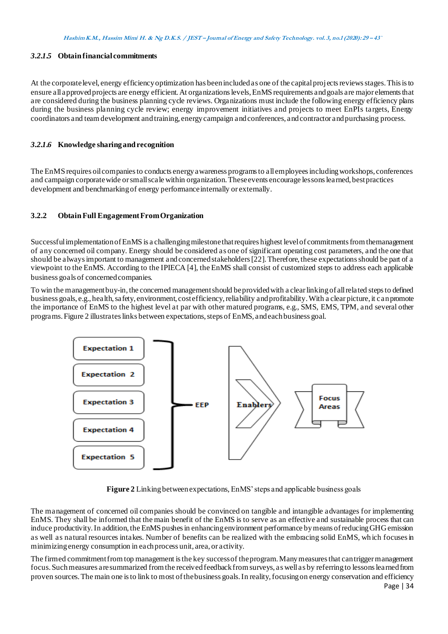#### *3.2.1.5* **Obtain financial commitments**

At the corporate level, energy efficiency optimization has been included as one of the capital projects reviews stages. This is to ensure all approved projects are energy efficient. At organizations levels, EnMS requirements and goals are major elements that are considered during the business planning cycle reviews. Organizations must include the following energy efficiency plans during the business planning cycle review; energy improvement initiatives and projects to meet EnPIs targets, Energy coordinators and team development and training, energy campaign and conferences, and contractor and purchasing process.

## *3.2.1.6* **Knowledge sharing and recognition**

The EnMS requires oil companies to conducts energy awareness programs to all employees including workshops, conferences and campaign corporate wide or small scale within organization. These events encourage lessons learned, best practices development and benchmarking of energy performance internally or externally.

## **3.2.2 Obtain Full Engagement From Organization**

Successful implementation of EnMS is a challenging milestone that requires highest level of commitments from the management of any concerned oil company. Energy should be considered as one of significant operating cost parameters, and the one that should be always important to management and concerned stakeholders [22]. Therefore, these expectations should be part of a viewpoint to the EnMS. According to the IPIECA [4], the EnMS shall consist of customized steps to address each applicable business goals of concerned companies.

To win the management buy-in, the concerned management should be provided with a clear linking of all related steps to defined business goals, e.g., health, safety, environment, cost efficiency, reliability and profitability. With a clear picture, it can promote the importance of EnMS to the highest level at par with other matured programs, e.g., SMS, EMS, TPM, and several other programs. Figure 2 illustrates links between expectations, steps of EnMS, and each business goal.



**Figure 2** Linking between expectations, EnMS' steps and applicable business goals

The management of concerned oil companies should be convinced on tangible and intangible advantages for implementing EnMS. They shall be informed that the main benefit of the EnMS is to serve as an effective and sustainable process that can induce productivity. In addition, the EnMS pushes in enhancing environment performance by means of reducing GHG emission as well as natural resources intakes. Number of benefits can be realized with the embracing solid EnMS, wh ich focuses in minimizing energy consumption in each process unit, area, or activity.

The firmed commitment from top management is the key success of the program. Many measures that can trigger management focus. Such measures are summarized from the received feedback from surveys, as well as by referring to lessons learned from proven sources. The main one is to link to most of the business goals. In reality, focusing on energy conservation and efficiency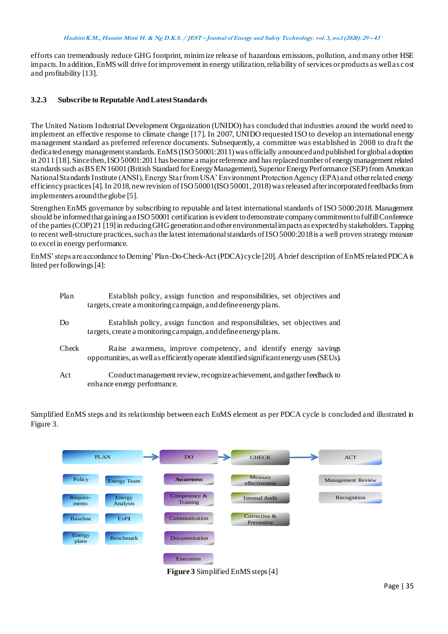efforts can tremendously reduce GHG footprint, minimize release of hazardous emissions, pollution, and many other HSE impacts. In addition, EnMS will drive for improvement in energy utilization, reliability of services or products as well as c ost and profitability [13].

# **3.2.3 Subscribe to Reputable And Latest Standards**

The United Nations Industrial Development Organization (UNIDO) has concluded that industries around the world need to implement an effective response to climate change [17]. In 2007, UNIDO requested ISO to develop an international energy management standard as preferred reference documents. Subsequently, a committee was established in 2008 to draft the dedicated energy management standards. EnMS (ISO 50001:2011) was officially announced and published for global adoption in 2011 [18]. Since then, ISO 50001:2011 has become a major reference and has replaced number of energy management related standards such as BS EN 16001 (British Standard for Energy Management), Superior Energy Performance (SEP) from American National Standards Institute (ANSI), Energy Star from USA' Environment Protection Agency (EPA) and other related energy efficiency practices [4]. In 2018, new revision of ISO 50001(ISO 50001, 2018) was released after incorporated feedbacks from implementers around the globe [5].

Strengthen EnMS governance by subscribing to reputable and latest international standards of ISO 5000:2018. Management should be informed that gaining an ISO 50001 certification is evident to demonstrate company commitment to fulfill Conference of the parties (COP) 21 [19] in reducing GHG generation and other environmental impacts as expected by stakeholders. Tapping to recent well-structure practices, such as the latest international standards of ISO 5000:2018 is a well proven strategy measure to excel in energy performance.

EnMS' steps are accordance to Deming' Plan-Do-Check-Act (PDCA) cycle [20]. A brief description of EnMS related PDCA is listed per followings [4]:

| Plan           | Establish policy, assign function and responsibilities, set objectives and<br>targets, create a monitoring campaign, and define energy plans.                |
|----------------|--------------------------------------------------------------------------------------------------------------------------------------------------------------|
| D <sub>0</sub> | Establish policy, assign function and responsibilities, set objectives and<br>targets, create a monitoring campaign, and define energy plans.                |
| Check          | Raise awareness, improve competency, and identify energy savings<br>opportunities, as well as efficiently operate identified significant energy uses (SEUs). |
| Act            | Conduct management review, recognize achievement, and gather feedback to<br>enhance energy performance.                                                      |

Simplified EnMS steps and its relationship between each EnMS element as per PDCA cycle is concluded and illustrated in Figure 3.

|                   | <b>PLAN</b>        | DO.                        | <b>CHECK</b>                    | <b>ACT</b>        |
|-------------------|--------------------|----------------------------|---------------------------------|-------------------|
| Policy            | <b>Energy Team</b> | <b>Awareness</b>           | <b>Measure</b><br>effectiveness | Management Review |
| Require-<br>ments | Energy<br>Analysis | Competence $&$<br>Training | <b>Internal Audit</b>           | Recognition       |
| <b>Baseline</b>   | EnPI               | Communication              | Corrective &<br>Preventive      |                   |
| Energy<br>plans   | <b>Benchmark</b>   | Documentation              |                                 |                   |
|                   |                    | Execution                  |                                 |                   |

**Figure 3** Simplified EnMS steps [4]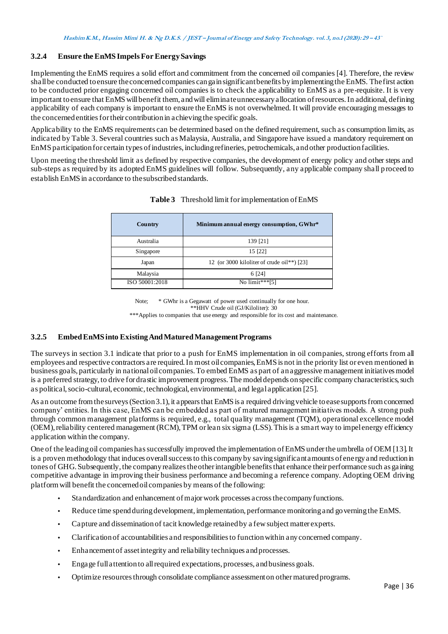# **3.2.4 Ensure the EnMS Impels For Energy Savings**

Implementing the EnMS requires a solid effort and commitment from the concerned oil companies [4]. Therefore, the review shall be conducted to ensure the concerned companies can gain significant benefits by implementing the EnMS. The first action to be conducted prior engaging concerned oil companies is to check the applicability to EnMS as a pre-requisite. It is very important to ensure that EnMS will benefit them, and will eliminate unnecessary allocation of resources. In additional, defining applicability of each company is important to ensure the EnMS is not overwhelmed. It will provide encouraging messages to the concerned entities for their contribution in achieving the specific goals.

Applicability to the EnMS requirements can be determined based on the defined requirement, such as consumption limits, as indicated by Table 3. Several countries such as Malaysia, Australia, and Singapore have issued a mandatory requirement on EnMS participation for certain types of industries, including refineries, petrochemicals, and other production facilities.

Upon meeting the threshold limit as defined by respective companies, the development of energy policy and other steps and sub-steps as required by its adopted EnMS guidelines will follow. Subsequently, any applicable company shall p roceed to establish EnMS in accordance to the subscribed standards.

| Country        | Minimum annual energy consumption, GWhr*   |  |
|----------------|--------------------------------------------|--|
| Australia      | 139 [21]                                   |  |
| Singapore      | 15 [22]                                    |  |
| Japan          | 12 (or 3000 kiloliter of crude oil**) [23] |  |
| Malaysia       | 6 [24]                                     |  |
| ISO 50001:2018 | No limit***[5]                             |  |

# **Table 3** Threshold limit for implementation of EnMS

Note;  $*$  GWhr is a Gegawatt of power used continually for one hour. \*\*HHV Crude oil (GJ/Kiloliter): 30 \*\*\*Applies to companies that use energy and responsible for its cost and maintenance.

# **3.2.5 Embed EnMS into Existing And Matured Management Programs**

The surveys in section 3.1 indicate that prior to a push for EnMS implementation in oil companies, strong efforts from all employees and respective contractors are required. In most oil companies, EnMS is not in the priority list or even mentioned in business goals, particularly in national oil companies. To embed EnMS as part of an aggressive management initiatives model is a preferred strategy, to drive for drastic improvement progress. The model depends on specific company characteristics, such as political, socio-cultural, economic, technological, environmental, and legal application [25].

As an outcome from the surveys (Section 3.1), it appears that EnMS is a required driving vehicle to ease supports from concerned company' entities. In this case, EnMS can be embedded as part of matured management initiatives models. A strong push through common management platforms is required, e.g., total quality management (TQM), operational excellence model (OEM), reliability centered management (RCM), TPM or lean six sigma (LSS). This is a smart way to impel energy efficiency application within the company.

One of the leading oil companies has successfully improved the implementation of EnMS under the umbrella of OEM [13]. It is a proven methodology that induces overall success to this company by saving significant amounts of energy and reduction in tones of GHG. Subsequently, the company realizes the other intangible benefits that enhance their performance such as gaining competitive advantage in improving their business performance and becoming a reference company. Adopting OEM driving platform will benefit the concerned oil companies by means of the following:

- **•** Standardization and enhancement of major work processes across the company functions.
- **•** Reduce time spend during development, implementation, performance monitoring and governing the EnMS.
- **•** Capture and dissemination of tacit knowledge retained by a few subject matter experts.
- **•** Clarification of accountabilities and responsibilities to function within any concerned company.
- **•** Enhancement of asset integrity and reliability techniques and processes.
- **•** Engage full attention to all required expectations, processes, and business goals.
- **•** Optimize resources through consolidate compliance assessment on other matured programs.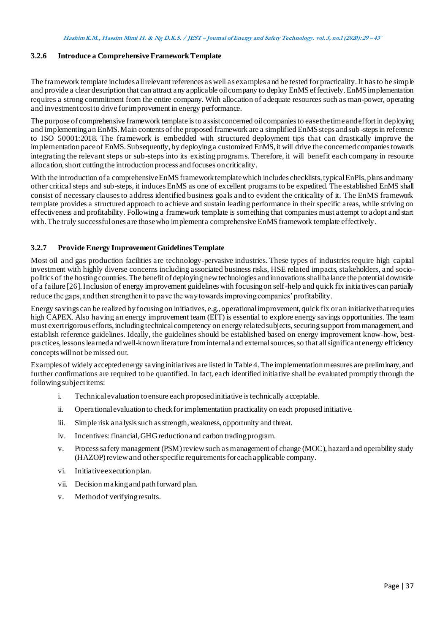# **3.2.6 Introduce a Comprehensive Framework Template**

The framework template includes all relevant references as well as examples and be tested for practicality. It has to be simple and provide a clear description that can attract any applicable oil company to deploy EnMS effectively. EnMS implementation requires a strong commitment from the entire company. With allocation of adequate resources such as man-power, operating and investment cost to drive for improvement in energy performance.

The purpose of comprehensive framework template is to assist concerned oil companies to ease the time and effort in deploying and implementing an EnMS. Main contents of the proposed framework are a simplified EnMS steps and sub -steps in reference to ISO 50001:2018. The framework is embedded with structured deployment tips that can drastically improve the implementation pace of EnMS. Subsequently, by deploying a customized EnMS, it will drive the concerned companies towards integrating the relevant steps or sub-steps into its existing programs. Therefore, it will benefit each company in resource allocation, short cutting the introduction process and focuses on criticality.

With the introduction of a comprehensive EnMS framework template which includes checklists, typical EnPIs, plans and many other critical steps and sub-steps, it induces EnMS as one of excellent programs to be expedited. The established EnMS shall consist of necessary clauses to address identified business goals and to evident the criticality of it. The EnMS framework template provides a structured approach to achieve and sustain leading performance in their specific areas, while striving on effectiveness and profitability. Following a framework template is something that companies must attempt to adopt and start with. The truly successful ones are those who implement a comprehensive EnMS framework template effectively.

### **3.2.7 Provide Energy Improvement Guidelines Template**

Most oil and gas production facilities are technology-pervasive industries. These types of industries require high capital investment with highly diverse concerns including associated business risks, HSE related impacts, stakeholders, and sociopolitics of the hosting countries. The benefit of deploying new technologies and innovations shall balance the potential downside of a failure [26]. Inclusion of energy improvement guidelines with focusing on self-help and quick fix initiatives can partially reduce the gaps, and then strengthen it to pave the way towards improving companies' profitability.

Energy savings can be realized by focusing on initiatives, e.g., operational improvement, quick fix or an initiative that req uires high CAPEX. Also having an energy improvement team (EIT) is essential to explore energy savings opportunities. The team must exert rigorous efforts, including technical competency on energy related subjects, securing support from management, and establish reference guidelines. Ideally, the guidelines should be established based on energy improvement know-how, bestpractices, lessons learned and well-known literature from internal and external sources, so that all significant energy efficiency concepts will not be missed out.

Examples of widely accepted energy saving initiatives are listed in Table 4. The implementation measures are preliminary, and further confirmations are required to be quantified. In fact, each identified initiative shall be evaluated promptly through the following subject items:

- i. Technical evaluation to ensure each proposed initiative is technically acceptable.
- ii. Operational evaluation to check for implementation practicality on each proposed initiative.
- iii. Simple risk analysis such as strength, weakness, opportunity and threat.
- iv. Incentives: financial, GHG reduction and carbon trading program.
- v. Process safety management (PSM) review such as management of change (MOC), hazard and operability study (HAZOP) review and other specific requirements for each applicable company.
- vi. Initiative execution plan.
- vii. Decision making and path forward plan.
- v. Method of verifying results.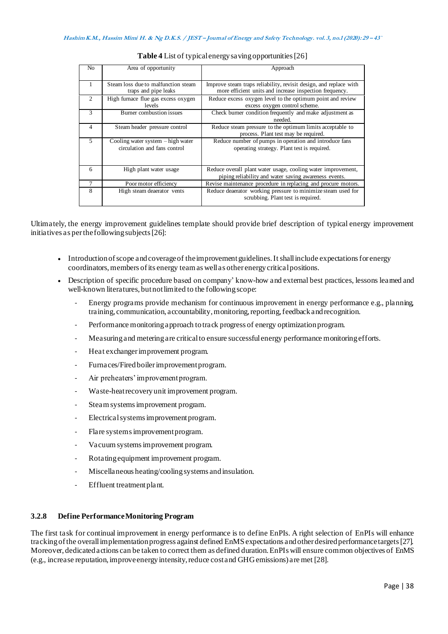| N <sub>0</sub> | Area of opportunity                                                       | Approach                                                                                                                     |  |
|----------------|---------------------------------------------------------------------------|------------------------------------------------------------------------------------------------------------------------------|--|
|                | Steam loss due to malfunction steam<br>traps and pipe leaks               | Improve steam traps reliability, revisit design, and replace with<br>more efficient units and increase inspection frequency. |  |
| $\mathcal{L}$  | High furnace flue gas excess oxygen<br><i>levels</i>                      | Reduce excess oxygen level to the optimum point and review<br>excess oxygen control scheme.                                  |  |
| 3              | Burner combustion issues                                                  | Check burner condition frequently and make adjustment as<br>needed.                                                          |  |
| 4              | Steam header pressure control                                             | Reduce steam pressure to the optimum limits acceptable to<br>process. Plant test may be required.                            |  |
| 5              | Cooling water system $-\hbox{high water}$<br>circulation and fans control | Reduce number of pumps in operation and introduce fans<br>operating strategy. Plant test is required.                        |  |
| 6              | High plant water usage                                                    | Reduce overall plant water usage, cooling water improvement,<br>piping reliability and water saving awareness events.        |  |
|                | Poor motor efficiency                                                     | Revise maintenance procedure in replacing and procure motors.                                                                |  |
| 8              | High steam deaerator vents                                                | Reduce deaerator working pressure to minimize steam used for<br>scrubbing. Plant test is required.                           |  |

| Table 4 List of typical energy saving opportunities [26] |  |  |
|----------------------------------------------------------|--|--|
|----------------------------------------------------------|--|--|

Ultimately, the energy improvement guidelines template should provide brief description of typical energy improvement initiatives as per the following subjects [26]:

- Introduction of scope and coverage of the improvement guidelines. It shall include expectations for energy coordinators, members of its energy team as well as other energy critical positions.
- Description of specific procedure based on company' know-how and external best practices, lessons learned and well-known literatures, but not limited to the following scope:
	- Energy programs provide mechanism for continuous improvement in energy performance e.g., planning, training, communication, accountability, monitoring, reporting, feedback and recognition.
	- Performance monitoring approach to track progress of energy optimization program.
	- Measuringand metering are critical to ensure successful energy performance monitoring efforts.
	- Heat exchanger improvement program.
	- Furnaces/Fired boiler improvement program.
	- Air preheaters' improvement program.
	- Waste-heat recovery unit improvement program.
	- Steam systems improvement program.
	- Electrical systems improvement program.
	- Flare systems improvement program.
	- Vacuum systems improvement program.
	- Rotating equipment improvement program.
	- Miscellaneous heating/cooling systems and insulation.
	- Effluent treatment plant.

### **3.2.8 Define Performance Monitoring Program**

The first task for continual improvement in energy performance is to define EnPIs. A right selection of EnPIs will enhance tracking of the overall implementation progress against defined EnMS expectations and other desired performance targets [27]. Moreover, dedicated actions can be taken to correct them as defined duration. EnPIs will ensure common objectives of EnMS (e.g., increase reputation, improve energy intensity, reduce cost and GHG emissions) are met [28].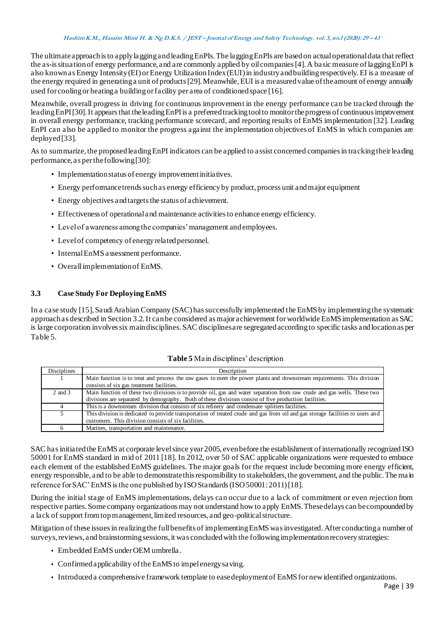The ultimate approach is to apply lagging and leading EnPIs. The lagging EnPIs are based on actual operational data that reflect the as-is situationof energy performance, and are commonly applied by oil companies [4]. A basic measure of lagging EnPI is also known as Energy Intensity (EI) or Energy Utilization Index (EUI) in industry and building respectively. EI is a measure of the energy required in generating a unit of products [29]. Meanwhile, EUI is a measured value of the amount of energy annually used for cooling or heating a building or facility per area of conditioned space [16].

Meanwhile, overall progress in driving for continuous improvement in the energy performance can be tracked through the leading EnPI [30]. It appears that the leading EnPI is a preferred tracking tool to monitor the progress of continuous improvement in overall energy performance, tracking performance scorecard, and reporting results of EnMS implementation [32]. Leading EnPI can also be applied to monitor the progress against the implementation objectives of EnMS in which companies are deployed [33].

As to summarize, the proposed leading EnPI indicators can be applied to assist concerned companies in tracking their leading performance, as per the following [30]:

- Implementation status of energy improvement initiatives.
- Energy performance trends such as energy efficiency by product, process unit and major equipment
- Energy objectives and targets the status of achievement.
- Effectiveness of operational and maintenance activities to enhance energy efficiency.
- Level of awareness among the companies' management and employees.
- Level of competency of energy related personnel.
- Internal EnMS assessment performance.
- Overall implementation of EnMS.

### **3.3 Case Study For Deploying EnMS**

In a case study [15], Saudi Arabian Company (SAC) has successfully implemented the EnMS by implementing the systematic approach as described in Section 3.2. It can be considered as major achievement for worldwide EnMS implementation as SAC is large corporation involves six main disciplines. SAC disciplines are segregated according to specific tasks and location as per Table 5.

|  | Table 5 Ma in disciplines' description |
|--|----------------------------------------|
|  |                                        |

| Disciplines | Description                                                                                                                                                                                                                       |
|-------------|-----------------------------------------------------------------------------------------------------------------------------------------------------------------------------------------------------------------------------------|
|             | Main function is to treat and process the raw gases to meet the power plants and downstream requirements. This division                                                                                                           |
|             | consists of six gas treatment facilities.                                                                                                                                                                                         |
| 2 and 3     | Main function of these two divisions is to provide oil, gas and water separation from raw crude and gas wells. These two<br>divisions are separated by demography. Both of these divisions consist of five production facilities. |
| 4           | This is a downstream division that consists of six refinery and condensate splitters facilities.                                                                                                                                  |
| 5           | This division is dedicated to provide transportation of treated crude and gas from oil and gas storage facilities to users and                                                                                                    |
|             | customers. This division consists of six facilities.                                                                                                                                                                              |
| 6           | Marines, transportation and maintenance.                                                                                                                                                                                          |

SAC has initiated the EnMS at corporate level since year 2005, even before the establishment of internationally recognized ISO 50001 for EnMS standard in mid of 2011 [18]. In 2012, over 50 of SAC applicable organizations were requested to embrace each element of the established EnMS guidelines. The major goals for the request include becoming more energy efficient, energy responsible, and to be able to demonstrate this responsibility to stakeholders, the government, and the public. The ma in reference for SAC' EnMS is the one published by ISO Standards (ISO 50001: 2011) [18].

During the initial stage of EnMS implementations, delays can occur due to a lack of commitment or even rejection from respective parties. Some company organizations may not understand how to apply EnMS. These delays can be compounded by a lack of support from top management, limited resources, and geo-political structure.

Mitigation of these issues in realizing the full benefits of implementing EnMS was investigated. After conducting a number of surveys, reviews, and brainstorming sessions, it was concluded with the following implementation recovery strategies:

- **•** Embedded EnMS under OEM umbrella.
- **•** Confirmed applicability of the EnMS to impel energy saving.
- **•** Introduced a comprehensive framework template to ease deployment of EnMS for new identified organizations.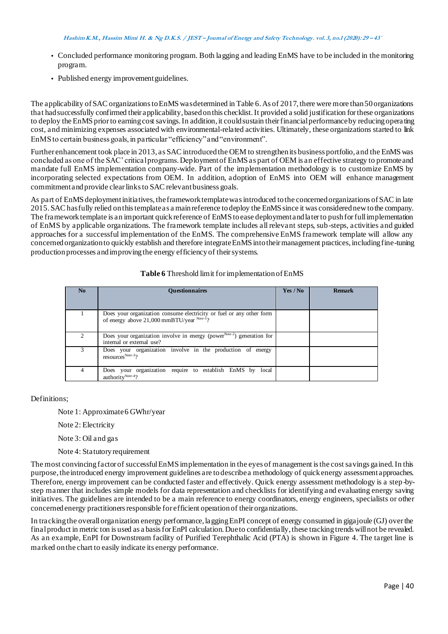- **•** Concluded performance monitoring program. Both lagging and leading EnMS have to be included in the monitoring program.
- **•** Published energy improvement guidelines.

The applicability of SAC organizations to EnMS was determined in Table 6. As of 2017, there were more than 50 organizations that had successfully confirmed their applicability, based on this checklist. It provided a solid justification for these organizations to deploy the EnMS prior to earning cost savings. In addition, it could sustain their financial performance by reducing opera ting cost, and minimizing expenses associated with environmental-related activities. Ultimately, these organizations started to link EnMS to certain business goals, in particular "efficiency" and "environment".

Further enhancement took place in 2013, as SAC introduced the OEM to strengthen its business portfolio, and the EnMS was concluded as one of the SAC' critical programs. Deployment of EnMS as part of OEM is an effective strategy to promote and mandate full EnMS implementation company-wide. Part of the implementation methodology is to customize EnMS by incorporating selected expectations from OEM. In addition, adoption of EnMS into OEM will enhance management commitment and provide clear links to SAC relevant business goals.

As part of EnMS deployment initiatives, the framework template was introduced to the concerned organizations of SAC in late 2015. SAC has fully relied on this template as a main reference to deploy the EnMS since it was considered new to the company. The framework template is an important quick reference of EnMS to ease deployment and later to push for full implementation of EnMS by applicable organizations. The framework template includes all relevant steps, sub-steps, activities and guided approaches for a successful implementation of the EnMS. The comprehensive EnMS framework template will allow any concerned organization to quickly establish and therefore integrate EnMS into their management practices, including fine-tuning production processes and improving the energy efficiency of their systems.

# **Table 6** Threshold limit for implementation of EnMS

| No | <b>Ouestionnaires</b>                                                                                                     | Yes / No | <b>Remark</b> |
|----|---------------------------------------------------------------------------------------------------------------------------|----------|---------------|
|    | Does your organization consume electricity or fuel or any other form<br>of energy above $21,000$ mmBTU/year $^{Note-1}$ ? |          |               |
|    | Does your organization involve in energy (power <sup>Note-2</sup> ) generation for<br>internal or external use?           |          |               |
|    | Does your organization involve in the production of energy<br>resources <sup>Note-3</sup> ?                               |          |               |
| 4  | Does your organization require to establish EnMS by<br>local<br>authority <sup>Note-4</sup> ?                             |          |               |

Definitions;

Note 1: Approximate 6 GWhr/year

Note 2: Electricity

- Note 3: Oil and gas
- Note 4: Statutory requirement

The most convincing factor of successful EnMS implementation in the eyes of management is the cost savings gained. In this purpose, the introduced energy improvement guidelines are to describe a methodology of quick energy assessment approaches. Therefore, energy improvement can be conducted faster and effectively. Quick energy assessment methodology is a step-bystep manner that includes simple models for data representation and checklists for identifying and evaluating energy saving initiatives. The guidelines are intended to be a main reference to energy coordinators, energy engineers, specialists or other concerned energy practitioners responsible for efficient operation of their organizations.

In tracking the overall organization energy performance, lagging EnPI concept of energy consumed in gigajoule (GJ) over the final product in metric ton is used as a basis for EnPI calculation. Due to confidentially, these tracking trends will not be revealed. As an example, EnPI for Downstream facility of Purified Terephthalic Acid (PTA) is shown in Figure 4. The target line is marked on the chart to easily indicate its energy performance.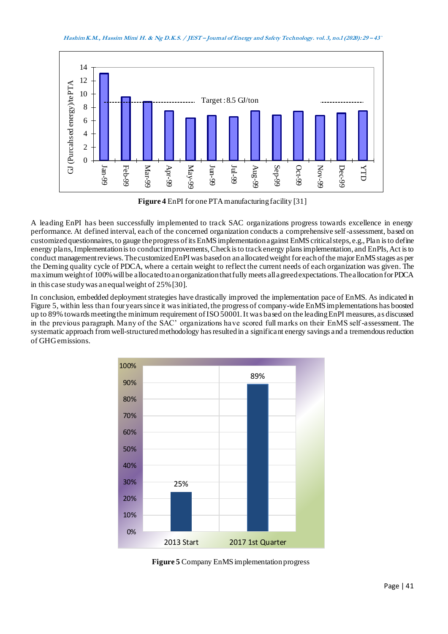**Hashim K.M., Hassim Mimi H. & Ng D.K.S. / JEST – Journal of Energy and Safety Technology. vol. 3, no.1 (2020): <sup>29</sup> – 43`**



**Figure 4** EnPI for one PTA manufacturing facility [31]

A leading EnPI has been successfully implemented to track SAC organizations progress towards excellence in energy performance. At defined interval, each of the concerned organization conducts a comprehensive self-assessment, based on customized questionnaires, to gauge the progress of its EnMS implementation against EnMS critical steps, e.g., Plan is to define energy plans, Implementation is to conduct improvements, Check is to track energy plans implementation, and EnPIs, Act is to conduct management reviews. The customized EnPI was based on an allocated weight for each of the major EnMS stages as per the Deming quality cycle of PDCA, where a certain weight to reflect the current needs of each organization was given. The maximum weight of 100% will be allocated to an organization that fully meets all agreed expectations. The allocation for PDCA in this case study was an equal weight of 25% [30].

In conclusion, embedded deployment strategies have drastically improved the implementation pace of EnMS. As indicated in Figure 5, within less than four years since it was initiated, the progress of company-wide EnMS implementations has boosted up to 89% towards meeting the minimum requirement of ISO 50001. It was based on the leading EnPI measures, as discussed in the previous paragraph. Many of the SAC' organizations have scored full marks on their EnMS self-assessment. The systematic approach from well-structured methodology has resulted in a significant energy savings and a tremendous reduction of GHG emissions.



**Figure 5** Company EnMS implementation progress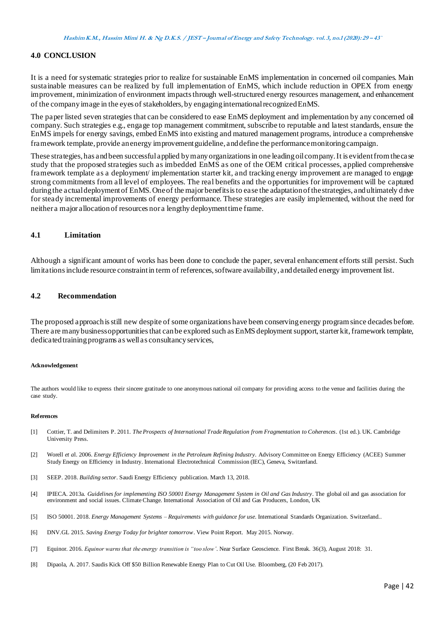#### **4.0 CONCLUSION**

It is a need for systematic strategies prior to realize for sustainable EnMS implementation in concerned oil companies. Main sustainable measures can be realized by full implementation of EnMS, which include reduction in OPEX from energy improvement, minimization of environment impacts through well-structured energy resources management, and enhancement of the company image in the eyes of stakeholders, by engaging international recognized EnMS.

The paper listed seven strategies that can be considered to ease EnMS deployment and implementation by any concerned oil company. Such strategies e.g., engage top management commitment, subscribe to reputable and latest standards, ensure the EnMS impels for energy savings, embed EnMS into existing and matured management programs, introduce a comprehensive framework template, provide an energy improvement guideline, and define the performance monitoring campaign.

These strategies, has and been successful applied by many organizations in one leading oil company. It is evident from the ca se study that the proposed strategies such as imbedded EnMS as one of the OEM critical processes, applied comprehensive framework template as a deployment/ implementation starter kit, and tracking energy improvement are managed to engage strong commitments from all level of employees. The real benefits and the opportunities for improvement will be captured during the actual deployment of EnMS. One of the major benefits is to ease the adaptation of the strategies, and ultimately d rive for steady incremental improvements of energy performance. These strategies are easily implemented, without the need for neither a major allocation of resources nor a lengthy deployment time frame.

# **4.1 Limitation**

Although a significant amount of works has been done to conclude the paper, several enhancement efforts still persist. Such limitations include resource constraint in term of references, software availability, and detailed energy improvement list.

#### **4.2 Recommendation**

The proposed approach is still new despite of some organizations have been conserving energy program since decades before. There are many business opportunities that can be explored such as EnMS deployment support, starter kit, framework template, dedicated training programs as well as consultancy services,

#### **Acknowledgement**

The authors would like to express their sincere gratitude to one anonymous national oil company for providing access to the venue and facilities during the case study.

#### **References**

- [1] Cottier, T. and Delimiters P. 2011. *The Prospects of International Trade Regulation from Fragmentation to Coherences*. (1st ed.). UK. Cambridge University Press.
- [2] Worell *et a*l. 2006. *Energy Efficiency Improvement in the Petroleum Refining Industry*. Advisory Committee on Energy Efficiency (ACEE) Summer Study Energy on Efficiency in Industry. International Electrotechnical Commission (IEC), Geneva, Switzerland.
- [3] SEEP. 2018. *Building sector*. Saudi Energy Efficiency publication. March 13, 2018.
- [4] IPIECA. 2013a. *Guidelines for implementing ISO 50001 Energy Management System in Oil and Gas Industry*. The global oil and gas association for environment and social issues. Climate Change. International Association of Oil and Gas Producers, London, UK
- [5] ISO 50001. 2018. *Energy Management Systems – Requirements with guidance for use*. International Standards Organization. Switzerland..
- [6] DNV.GL 2015. *Saving Energy Today for brighter tomorrow*. View Point Report. May 2015. Norway.
- [7] Equinor. 2016. *Equinor warns that the energy transition is "too slow'*. Near Surface Geoscience. First Break. 36(3), August 2018: 31.
- [8] Dipaola, A. 2017. Saudis Kick Off \$50 Billion Renewable Energy Plan to Cut Oil Use. Bloomberg, (20 Feb 2017).